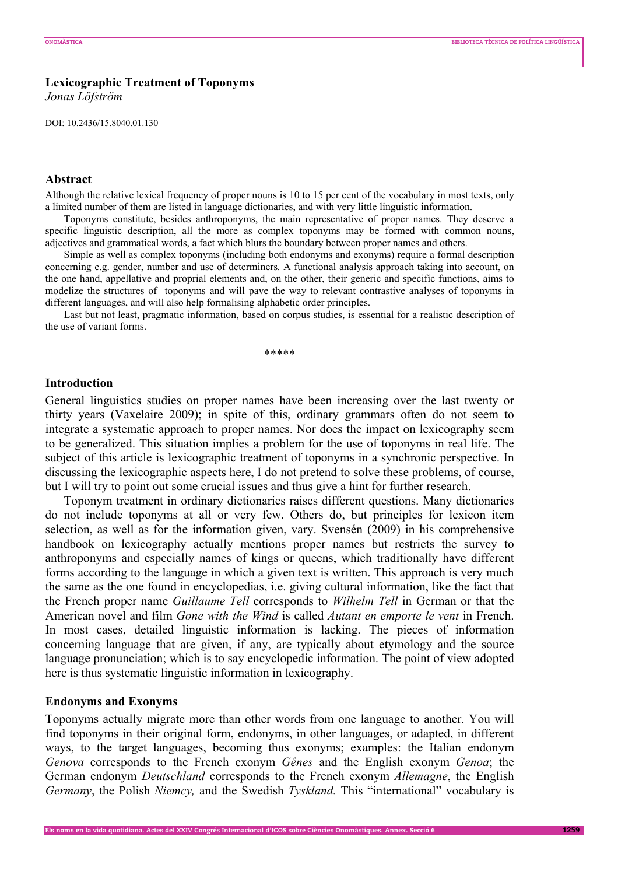### **Lexicographic Treatment of Toponyms**

*Jonas Löfström* 

DOI: 10.2436/15.8040.01.130

# **Abstract**

Although the relative lexical frequency of proper nouns is 10 to 15 per cent of the vocabulary in most texts, only a limited number of them are listed in language dictionaries, and with very little linguistic information.

 Toponyms constitute, besides anthroponyms, the main representative of proper names. They deserve a specific linguistic description, all the more as complex toponyms may be formed with common nouns, adjectives and grammatical words, a fact which blurs the boundary between proper names and others.

Simple as well as complex toponyms (including both endonyms and exonyms) require a formal description concerning e.g. gender, number and use of determiners*.* A functional analysis approach taking into account, on the one hand, appellative and proprial elements and, on the other, their generic and specific functions, aims to modelize the structures of toponyms and will pave the way to relevant contrastive analyses of toponyms in different languages, and will also help formalising alphabetic order principles.

Last but not least, pragmatic information, based on corpus studies, is essential for a realistic description of the use of variant forms.

\*\*\*\*\*

# **Introduction**

General linguistics studies on proper names have been increasing over the last twenty or thirty years (Vaxelaire 2009); in spite of this, ordinary grammars often do not seem to integrate a systematic approach to proper names. Nor does the impact on lexicography seem to be generalized. This situation implies a problem for the use of toponyms in real life. The subject of this article is lexicographic treatment of toponyms in a synchronic perspective. In discussing the lexicographic aspects here, I do not pretend to solve these problems, of course, but I will try to point out some crucial issues and thus give a hint for further research.

Toponym treatment in ordinary dictionaries raises different questions. Many dictionaries do not include toponyms at all or very few. Others do, but principles for lexicon item selection, as well as for the information given, vary. Svensén (2009) in his comprehensive handbook on lexicography actually mentions proper names but restricts the survey to anthroponyms and especially names of kings or queens, which traditionally have different forms according to the language in which a given text is written. This approach is very much the same as the one found in encyclopedias, i.e. giving cultural information, like the fact that the French proper name *Guillaume Tell* corresponds to *Wilhelm Tell* in German or that the American novel and film *Gone with the Wind* is called *Autant en emporte le vent* in French. In most cases, detailed linguistic information is lacking. The pieces of information concerning language that are given, if any, are typically about etymology and the source language pronunciation; which is to say encyclopedic information. The point of view adopted here is thus systematic linguistic information in lexicography.

#### **Endonyms and Exonyms**

Toponyms actually migrate more than other words from one language to another. You will find toponyms in their original form, endonyms, in other languages, or adapted, in different ways, to the target languages, becoming thus exonyms; examples: the Italian endonym *Genova* corresponds to the French exonym *Gênes* and the English exonym *Genoa*; the German endonym *Deutschland* corresponds to the French exonym *Allemagne*, the English *Germany*, the Polish *Niemcy*, and the Swedish *Tyskland*. This "international" vocabulary is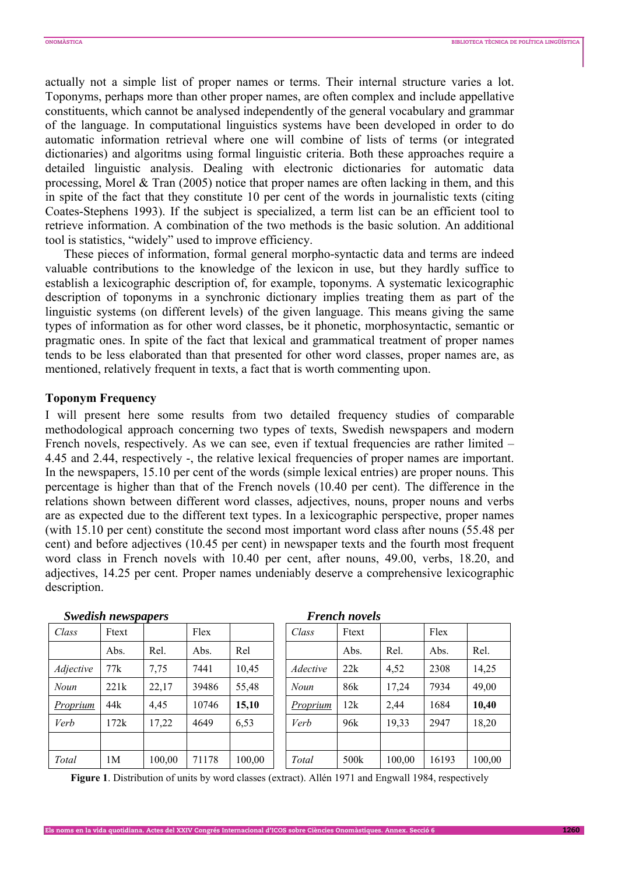actually not a simple list of proper names or terms. Their internal structure varies a lot. Toponyms, perhaps more than other proper names, are often complex and include appellative constituents, which cannot be analysed independently of the general vocabulary and grammar of the language. In computational linguistics systems have been developed in order to do automatic information retrieval where one will combine of lists of terms (or integrated dictionaries) and algoritms using formal linguistic criteria. Both these approaches require a detailed linguistic analysis. Dealing with electronic dictionaries for automatic data processing, Morel & Tran (2005) notice that proper names are often lacking in them, and this in spite of the fact that they constitute 10 per cent of the words in journalistic texts (citing Coates-Stephens 1993). If the subject is specialized, a term list can be an efficient tool to retrieve information. A combination of the two methods is the basic solution. An additional tool is statistics, "widely" used to improve efficiency.

These pieces of information, formal general morpho-syntactic data and terms are indeed valuable contributions to the knowledge of the lexicon in use, but they hardly suffice to establish a lexicographic description of, for example, toponyms. A systematic lexicographic description of toponyms in a synchronic dictionary implies treating them as part of the linguistic systems (on different levels) of the given language. This means giving the same types of information as for other word classes, be it phonetic, morphosyntactic, semantic or pragmatic ones. In spite of the fact that lexical and grammatical treatment of proper names tends to be less elaborated than that presented for other word classes, proper names are, as mentioned, relatively frequent in texts, a fact that is worth commenting upon.

#### **Toponym Frequency**

I will present here some results from two detailed frequency studies of comparable methodological approach concerning two types of texts, Swedish newspapers and modern French novels, respectively. As we can see, even if textual frequencies are rather limited – 4.45 and 2.44, respectively -, the relative lexical frequencies of proper names are important. In the newspapers, 15.10 per cent of the words (simple lexical entries) are proper nouns. This percentage is higher than that of the French novels (10.40 per cent). The difference in the relations shown between different word classes, adjectives, nouns, proper nouns and verbs are as expected due to the different text types. In a lexicographic perspective, proper names (with 15.10 per cent) constitute the second most important word class after nouns (55.48 per cent) and before adjectives (10.45 per cent) in newspaper texts and the fourth most frequent word class in French novels with 10.40 per cent, after nouns, 49.00, verbs, 18.20, and adjectives, 14.25 per cent. Proper names undeniably deserve a comprehensive lexicographic description.

| <b>Swedish newspapers</b> |                |        |       | <b>French novels</b> |                 |       |        |       |        |
|---------------------------|----------------|--------|-------|----------------------|-----------------|-------|--------|-------|--------|
| Class                     | Ftext          |        | Flex  |                      | Class           | Ftext |        | Flex  |        |
|                           | Abs.           | Rel.   | Abs.  | Rel                  |                 | Abs.  | Rel.   | Abs.  | Rel.   |
| <i>Adjective</i>          | 77k            | 7,75   | 7441  | 10,45                | <i>Adective</i> | 22k   | 4,52   | 2308  | 14,25  |
| Noun                      | 221k           | 22,17  | 39486 | 55,48                | Noun            | 86k   | 17,24  | 7934  | 49,00  |
| <b>Proprium</b>           | 44k            | 4,45   | 10746 | 15,10                | <u>Proprium</u> | 12k   | 2,44   | 1684  | 10,40  |
| Verb                      | 172k           | 17,22  | 4649  | 6,53                 | Verb            | 96k   | 19,33  | 2947  | 18,20  |
|                           |                |        |       |                      |                 |       |        |       |        |
| Total                     | 1 <sub>M</sub> | 100,00 | 71178 | 100,00               | Total           | 500k  | 100,00 | 16193 | 100,00 |

**Figure 1**. Distribution of units by word classes (extract). Allén 1971 and Engwall 1984, respectively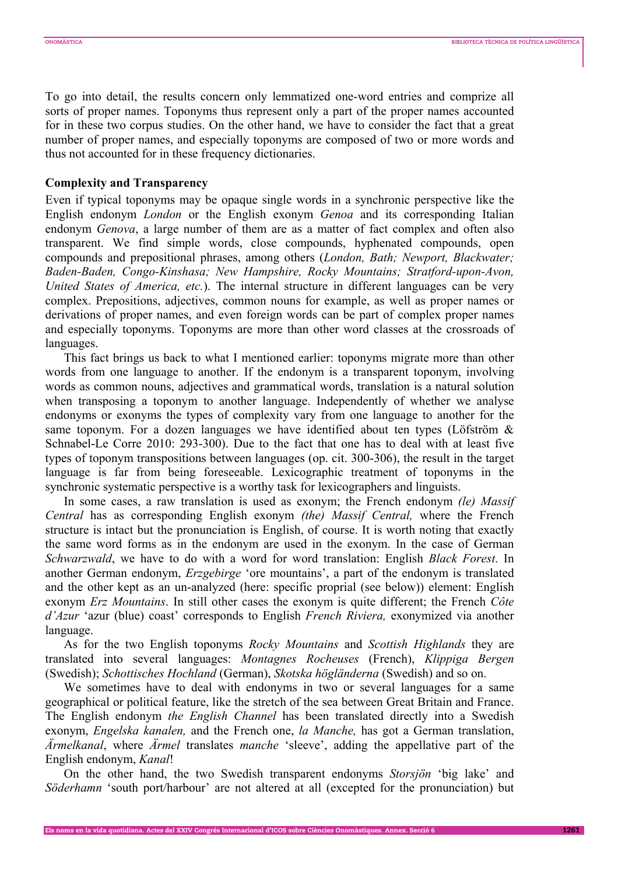To go into detail, the results concern only lemmatized one-word entries and comprize all sorts of proper names. Toponyms thus represent only a part of the proper names accounted for in these two corpus studies. On the other hand, we have to consider the fact that a great number of proper names, and especially toponyms are composed of two or more words and thus not accounted for in these frequency dictionaries.

#### **Complexity and Transparency**

Even if typical toponyms may be opaque single words in a synchronic perspective like the English endonym *London* or the English exonym *Genoa* and its corresponding Italian endonym *Genova*, a large number of them are as a matter of fact complex and often also transparent. We find simple words, close compounds, hyphenated compounds, open compounds and prepositional phrases, among others (*London, Bath; Newport, Blackwater; Baden-Baden, Congo-Kinshasa; New Hampshire, Rocky Mountains; Stratford-upon-Avon, United States of America, etc.*). The internal structure in different languages can be very complex. Prepositions, adjectives, common nouns for example, as well as proper names or derivations of proper names, and even foreign words can be part of complex proper names and especially toponyms. Toponyms are more than other word classes at the crossroads of languages.

This fact brings us back to what I mentioned earlier: toponyms migrate more than other words from one language to another. If the endonym is a transparent toponym, involving words as common nouns, adjectives and grammatical words, translation is a natural solution when transposing a toponym to another language. Independently of whether we analyse endonyms or exonyms the types of complexity vary from one language to another for the same toponym. For a dozen languages we have identified about ten types (Löfström  $\&$ Schnabel-Le Corre 2010: 293-300). Due to the fact that one has to deal with at least five types of toponym transpositions between languages (op. cit. 300-306), the result in the target language is far from being foreseeable. Lexicographic treatment of toponyms in the synchronic systematic perspective is a worthy task for lexicographers and linguists.

In some cases, a raw translation is used as exonym; the French endonym *(le) Massif Central* has as corresponding English exonym *(the) Massif Central,* where the French structure is intact but the pronunciation is English, of course. It is worth noting that exactly the same word forms as in the endonym are used in the exonym. In the case of German *Schwarzwald*, we have to do with a word for word translation: English *Black Forest*. In another German endonym, *Erzgebirge* 'ore mountains', a part of the endonym is translated and the other kept as an un-analyzed (here: specific proprial (see below)) element: English exonym *Erz Mountains*. In still other cases the exonym is quite different; the French *Côte d'Azur* 'azur (blue) coast' corresponds to English *French Riviera,* exonymized via another language.

As for the two English toponyms *Rocky Mountains* and *Scottish Highlands* they are translated into several languages: *Montagnes Rocheuses* (French), *Klippiga Bergen*  (Swedish); *Schottisches Hochland* (German), *Skotska högländerna* (Swedish) and so on.

We sometimes have to deal with endonyms in two or several languages for a same geographical or political feature, like the stretch of the sea between Great Britain and France. The English endonym *the English Channel* has been translated directly into a Swedish exonym, *Engelska kanalen,* and the French one, *la Manche,* has got a German translation, *Ärmelkanal*, where *Ärmel* translates *manche* 'sleeve', adding the appellative part of the English endonym, *Kanal*!

On the other hand, the two Swedish transparent endonyms *Storsjön* 'big lake' and *Söderhamn* 'south port/harbour' are not altered at all (excepted for the pronunciation) but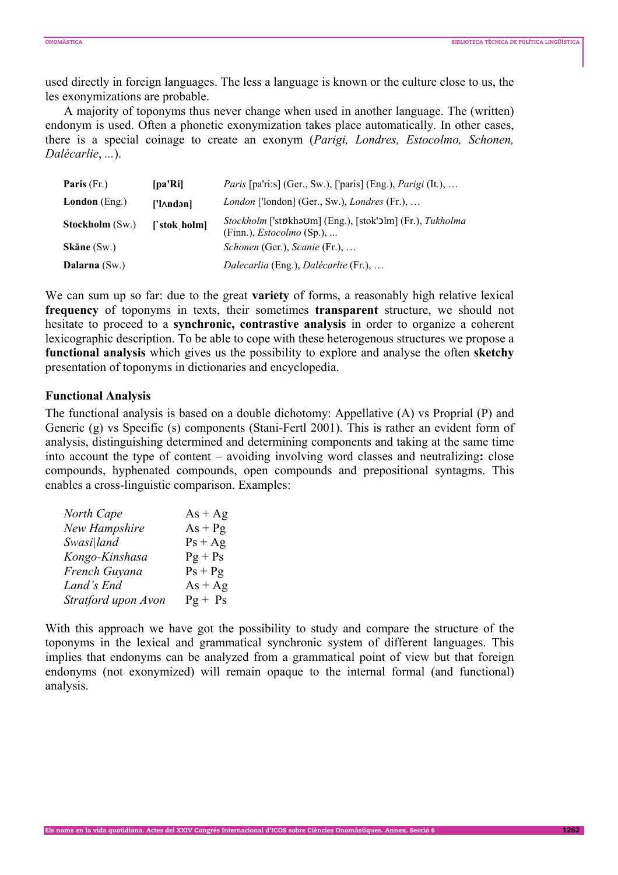used directly in foreign languages. The less a language is known or the culture close to us, the les exonymizations are probable.

 A majority of toponyms thus never change when used in another language. The (written) endonym is used. Often a phonetic exonymization takes place automatically. In other cases, there is a special coinage to create an exonym (*Parigi, Londres, Estocolmo, Schonen, Dalécarlie*, *...*).

| <b>Paris</b> $(Fr)$    | [pa'Ri]      | <i>Paris</i> [pa'ri:s] (Ger., Sw.), ['paris] (Eng.), <i>Parigi</i> (It.),                    |
|------------------------|--------------|----------------------------------------------------------------------------------------------|
| <b>London</b> (Eng.)   | ['l∧ndən]    | London ['london] (Ger., Sw.), Londres (Fr.),                                                 |
| <b>Stockholm</b> (Sw.) | [`stok holm] | Stockholm ['støkhəʊm] (Eng.), [stok'ɔlm] (Fr.), Tukholma<br>(Finn.), <i>Estocolmo</i> (Sp.), |
| Skåne(Sw.)             |              | Schonen (Ger.), Scanie (Fr.),                                                                |
| Dalarna $(Sw)$         |              | Dalecarlia (Eng.), Dalécarlie (Fr.),                                                         |

We can sum up so far: due to the great **variety** of forms, a reasonably high relative lexical **frequency** of toponyms in texts, their sometimes **transparent** structure, we should not hesitate to proceed to a **synchronic, contrastive analysis** in order to organize a coherent lexicographic description. To be able to cope with these heterogenous structures we propose a **functional analysis** which gives us the possibility to explore and analyse the often **sketchy** presentation of toponyms in dictionaries and encyclopedia.

### **Functional Analysis**

The functional analysis is based on a double dichotomy: Appellative (A) vs Proprial (P) and Generic (g) vs Specific (s) components (Stani-Fertl 2001). This is rather an evident form of analysis, distinguishing determined and determining components and taking at the same time into account the type of content – avoiding involving word classes and neutralizing**:** close compounds, hyphenated compounds, open compounds and prepositional syntagms. This enables a cross-linguistic comparison. Examples:

| North Cape          | $As + Ag$ |
|---------------------|-----------|
| New Hampshire       | $As + Pg$ |
| Swasi land          | $Ps + Ag$ |
| Kongo-Kinshasa      | $Pg + Ps$ |
| French Guyana       | $PS + Pg$ |
| Land's End          | $As + Ag$ |
| Stratford upon Avon | $Pg + Ps$ |

With this approach we have got the possibility to study and compare the structure of the toponyms in the lexical and grammatical synchronic system of different languages. This implies that endonyms can be analyzed from a grammatical point of view but that foreign endonyms (not exonymized) will remain opaque to the internal formal (and functional) analysis.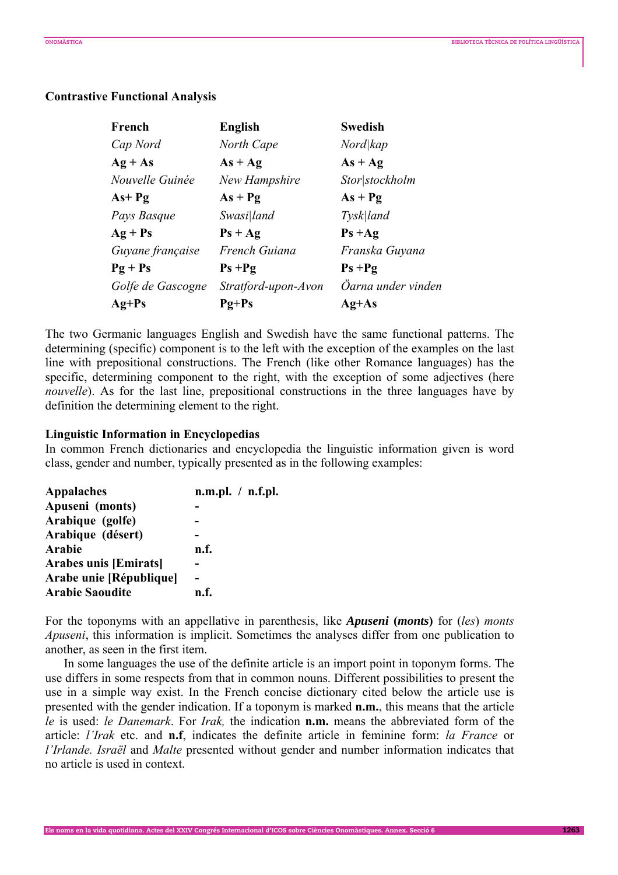# **Contrastive Functional Analysis**

| French            | <b>English</b>      | <b>Swedish</b>     |
|-------------------|---------------------|--------------------|
| Cap Nord          | North Cape          | Nord kap           |
| $Ag + As$         | $As + Ag$           | $As + Ag$          |
| Nouvelle Guinée   | New Hampshire       | Stor stockholm     |
| As+ Pg            | $As + Pg$           | $As + Pg$          |
| Pays Basque       | Swasi land          | Tysk land          |
| $Ag + Ps$         | $PS + Ag$           | $Ps + Ag$          |
| Guyane française  | French Guiana       | Franska Guyana     |
| $Pg + Ps$         | $Ps + Pg$           | $Ps + Pg$          |
| Golfe de Gascogne | Stratford-upon-Avon | Öarna under vinden |
| $Ag+Ps$           | $Pg+Ps$             | $Ag+As$            |

The two Germanic languages English and Swedish have the same functional patterns. The determining (specific) component is to the left with the exception of the examples on the last line with prepositional constructions. The French (like other Romance languages) has the specific, determining component to the right, with the exception of some adjectives (here *nouvelle*). As for the last line, prepositional constructions in the three languages have by definition the determining element to the right.

### **Linguistic Information in Encyclopedias**

In common French dictionaries and encyclopedia the linguistic information given is word class, gender and number, typically presented as in the following examples:

| <b>Appalaches</b>            | n.m.pl. / n.f.pl. |
|------------------------------|-------------------|
| Apuseni (monts)              |                   |
| Arabique (golfe)             |                   |
| Arabique (désert)            |                   |
| <b>Arabie</b>                | n.f.              |
| <b>Arabes unis [Emirats]</b> |                   |
| Arabe unie [République]      |                   |
| <b>Arabie Saoudite</b>       | n.f.              |

For the toponyms with an appellative in parenthesis, like *Apuseni* **(***monts***)** for (*les*) *monts Apuseni*, this information is implicit. Sometimes the analyses differ from one publication to another, as seen in the first item.

In some languages the use of the definite article is an import point in toponym forms. The use differs in some respects from that in common nouns. Different possibilities to present the use in a simple way exist. In the French concise dictionary cited below the article use is presented with the gender indication. If a toponym is marked **n.m.**, this means that the article *le* is used: *le Danemark*. For *Irak,* the indication **n.m.** means the abbreviated form of the article: *l'Irak* etc. and **n.f**, indicates the definite article in feminine form: *la France* or *l'Irlande. Israël* and *Malte* presented without gender and number information indicates that no article is used in context.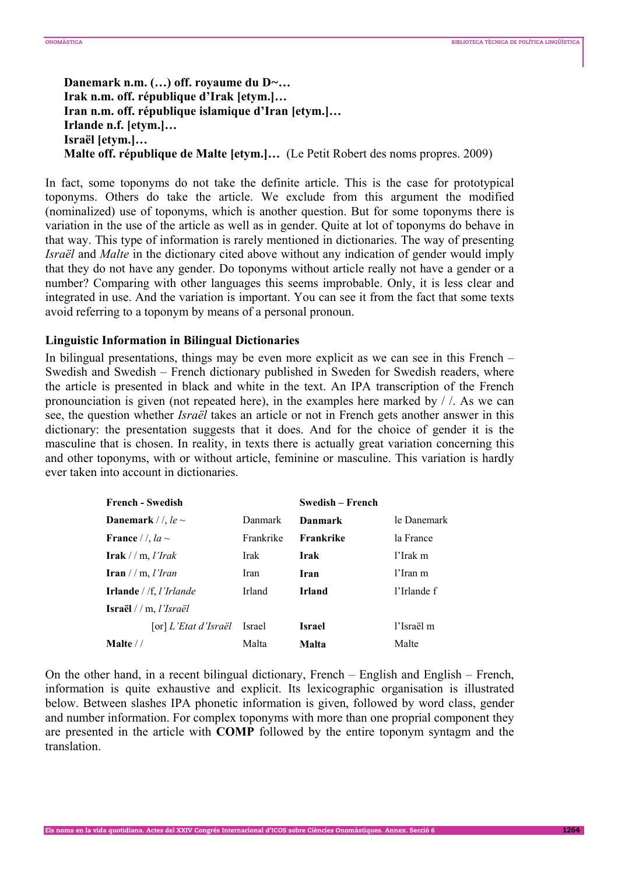**Danemark n.m. (…) off. royaume du D***~***… Irak n.m. off. république d'Irak [etym.]… Iran n.m. off. république islamique d'Iran [etym.]… Irlande n.f. [etym.]… Israël [etym.]… Malte off. république de Malte [etym.]…** (Le Petit Robert des noms propres. 2009)

In fact, some toponyms do not take the definite article. This is the case for prototypical toponyms. Others do take the article. We exclude from this argument the modified (nominalized) use of toponyms, which is another question. But for some toponyms there is variation in the use of the article as well as in gender. Quite at lot of toponyms do behave in that way. This type of information is rarely mentioned in dictionaries. The way of presenting *Israël* and *Malte* in the dictionary cited above without any indication of gender would imply that they do not have any gender. Do toponyms without article really not have a gender or a number? Comparing with other languages this seems improbable. Only, it is less clear and integrated in use. And the variation is important. You can see it from the fact that some texts avoid referring to a toponym by means of a personal pronoun.

# **Linguistic Information in Bilingual Dictionaries**

In bilingual presentations, things may be even more explicit as we can see in this French – Swedish and Swedish – French dictionary published in Sweden for Swedish readers, where the article is presented in black and white in the text. An IPA transcription of the French pronounciation is given (not repeated here), in the examples here marked by / /. As we can see, the question whether *Israël* takes an article or not in French gets another answer in this dictionary: the presentation suggests that it does. And for the choice of gender it is the masculine that is chosen. In reality, in texts there is actually great variation concerning this and other toponyms, with or without article, feminine or masculine. This variation is hardly ever taken into account in dictionaries.

| <b>French - Swedish</b>                  |           | Swedish – French |             |
|------------------------------------------|-----------|------------------|-------------|
| <b>Danemark</b> / $\ell$ , le $\sim$     | Danmark   | Danmark          | le Danemark |
| France / /, $la \sim$                    | Frankrike | Frankrike        | la France   |
| $Irak$ // m, <i>l'Irak</i>               | Irak      | Irak             | l'Irak m    |
| Iran $//m, l'Iran$                       | Iran      | Iran             | l'Iran m    |
| <b>Irlande</b> / $/f$ , <i>l'Irlande</i> | Irland    | <b>Irland</b>    | l'Irlande f |
| <b>Israël</b> // m, <i>l'Israël</i>      |           |                  |             |
| [or] L'Etat d'Israël                     | Israel    | <b>Israel</b>    | l'Israël m  |
| Malte $//$                               | Malta     | Malta            | Malte       |

On the other hand, in a recent bilingual dictionary, French – English and English – French, information is quite exhaustive and explicit. Its lexicographic organisation is illustrated below. Between slashes IPA phonetic information is given, followed by word class, gender and number information. For complex toponyms with more than one proprial component they are presented in the article with **COMP** followed by the entire toponym syntagm and the translation.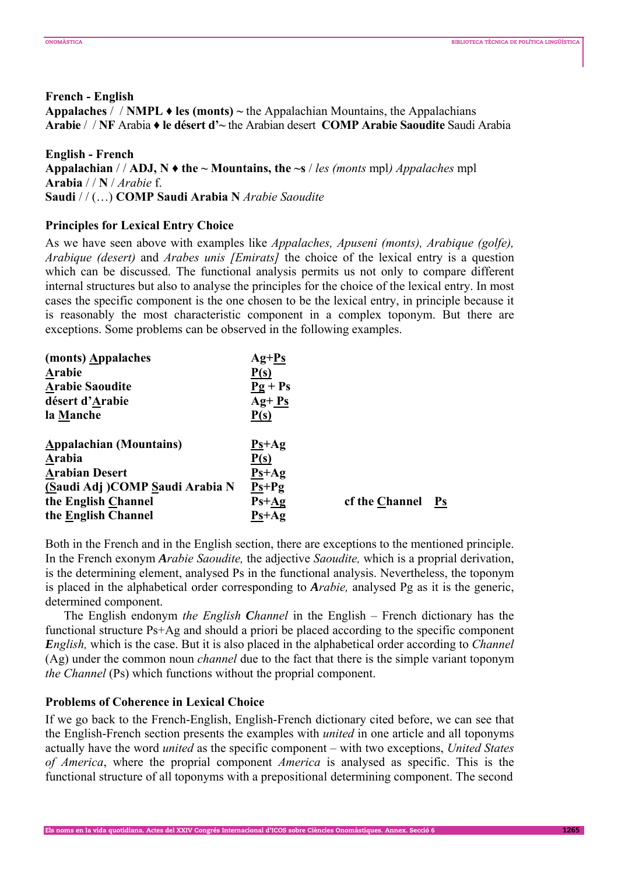# **French - English**

**Appalaches** / / **NMPL ♦ les (monts) ~** the Appalachian Mountains, the Appalachians **Arabie** / / **NF** Arabia **♦ le désert d'~** the Arabian desert **COMP Arabie Saoudite** Saudi Arabia

# **English - French**

**Appalachian** /  $\land$  **ADJ, N**  $\blacklozenge$  **the** ~ **Mountains, the** ~s  $\land$  *les (monts mpl) Appalaches mpl* **Arabia** / / **N** / *Arabie* f. **Saudi** / / (…) **COMP Saudi Arabia N** *Arabie Saoudite* 

**Principles for Lexical Entry Choice** 

As we have seen above with examples like *Appalaches, Apuseni (monts), Arabique (golfe), Arabique (desert)* and *Arabes unis [Emirats]* the choice of the lexical entry is a question which can be discussed. The functional analysis permits us not only to compare different internal structures but also to analyse the principles for the choice of the lexical entry. In most cases the specific component is the one chosen to be the lexical entry, in principle because it is reasonably the most characteristic component in a complex toponym. But there are exceptions. Some problems can be observed in the following examples.

| (monts) Appalaches             | $Ag+Ps$   |                |               |
|--------------------------------|-----------|----------------|---------------|
| Arabie                         | P(s)      |                |               |
| <b>Arabie Saoudite</b>         | $Pg + Ps$ |                |               |
| désert d'Arabie                | $Ag + Ps$ |                |               |
| la Manche                      | P(s)      |                |               |
| <b>Appalachian (Mountains)</b> | $Ps+Ag$   |                |               |
| Arabia                         | P(s)      |                |               |
| <b>Arabian Desert</b>          | $Ps+Ag$   |                |               |
| (Saudi Adj)COMP Saudi Arabia N | $Ps+Pg$   |                |               |
| the English Channel            | $Ps+Ag$   | cf the Channel | $\mathbf{Ps}$ |
| the English Channel            | $Ps+Ag$   |                |               |

Both in the French and in the English section, there are exceptions to the mentioned principle. In the French exonym *Arabie Saoudite,* the adjective *Saoudite,* which is a proprial derivation, is the determining element, analysed Ps in the functional analysis. Nevertheless, the toponym is placed in the alphabetical order corresponding to *Arabie,* analysed Pg as it is the generic, determined component.

The English endonym *the English Channel* in the English – French dictionary has the functional structure Ps+Ag and should a priori be placed according to the specific component *English,* which is the case. But it is also placed in the alphabetical order according to *Channel* (Ag) under the common noun *channel* due to the fact that there is the simple variant toponym *the Channel* (Ps) which functions without the proprial component.

# **Problems of Coherence in Lexical Choice**

If we go back to the French-English, English-French dictionary cited before, we can see that the English-French section presents the examples with *united* in one article and all toponyms actually have the word *united* as the specific component – with two exceptions, *United States of America*, where the proprial component *America* is analysed as specific. This is the functional structure of all toponyms with a prepositional determining component. The second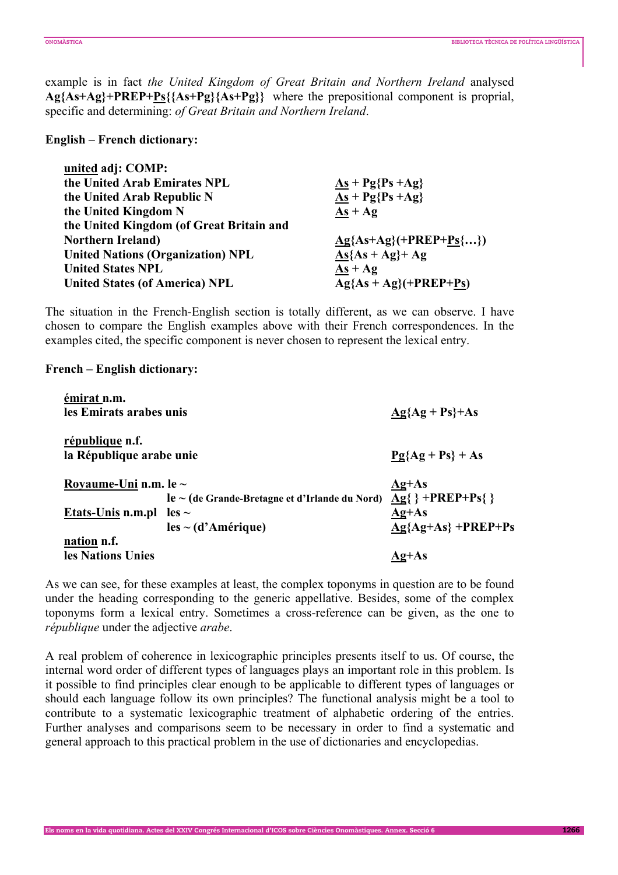example is in fact *the United Kingdom of Great Britain and Northern Ireland* analysed **Ag{As+Ag}+PREP+Ps{{As+Pg}{As+Pg}}** where the prepositional component is proprial, specific and determining: *of Great Britain and Northern Ireland*.

## **English – French dictionary:**

| $As + Pg{Ps +Ag}$             |
|-------------------------------|
| $\overline{As}$ + Pg{Ps + Ag} |
| $As + Ag$                     |
|                               |
| $Ag{As+Ag}(+PREF+Ps{})$       |
| $As{As + Ag}+Ag$              |
| $As + Ag$                     |
| $Ag{As + Ag}(+PREP+Ps)$       |
|                               |

The situation in the French-English section is totally different, as we can observe. I have chosen to compare the English examples above with their French correspondences. In the examples cited, the specific component is never chosen to represent the lexical entry.

# **French – English dictionary:**

| émirat n.m.<br>les Emirats arabes unis                            |                                                                                  | $\underline{Ag} \{Ag + Ps\} + As$                                  |
|-------------------------------------------------------------------|----------------------------------------------------------------------------------|--------------------------------------------------------------------|
| république n.f.<br>la République arabe unie                       |                                                                                  | $Pg{Ag + Ps} + As$                                                 |
| Royaume-Uni n.m. le $\sim$<br><u>Etats-Unis</u> n.m.pl les $\sim$ | $le$ $\sim$ (de Grande-Bretagne et d'Irlande du Nord)<br>$les \sim (d'Amérique)$ | $Ag+As$<br>$Ag\}$ +PREP+Ps $\}$<br>$Ag+As$<br>$Ag{Ag+As}$ +PREP+Ps |
| nation n.f.<br>les Nations Unies                                  |                                                                                  | Ag+As                                                              |

As we can see, for these examples at least, the complex toponyms in question are to be found under the heading corresponding to the generic appellative. Besides, some of the complex toponyms form a lexical entry. Sometimes a cross-reference can be given, as the one to *république* under the adjective *arabe*.

A real problem of coherence in lexicographic principles presents itself to us. Of course, the internal word order of different types of languages plays an important role in this problem. Is it possible to find principles clear enough to be applicable to different types of languages or should each language follow its own principles? The functional analysis might be a tool to contribute to a systematic lexicographic treatment of alphabetic ordering of the entries. Further analyses and comparisons seem to be necessary in order to find a systematic and general approach to this practical problem in the use of dictionaries and encyclopedias.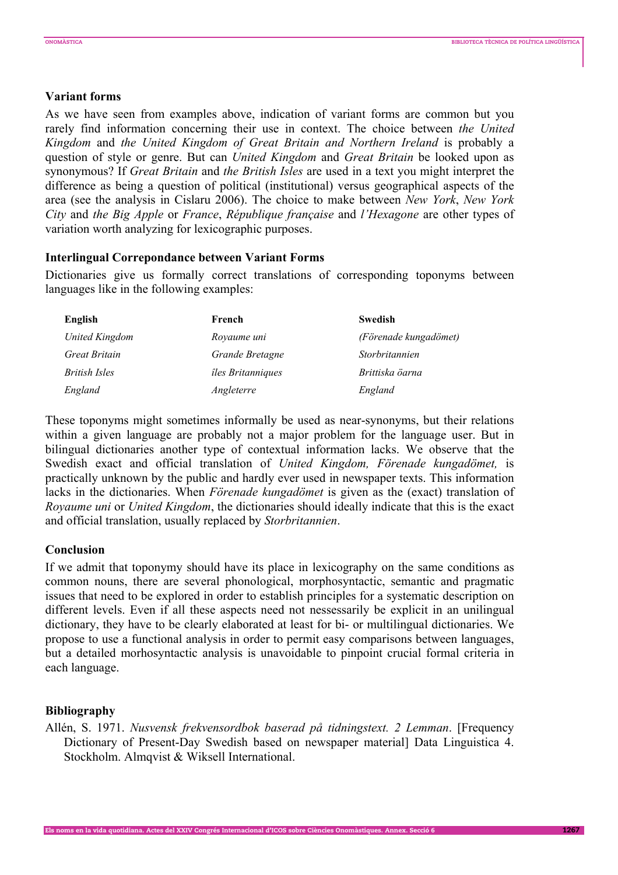### **Variant forms**

As we have seen from examples above, indication of variant forms are common but you rarely find information concerning their use in context. The choice between *the United Kingdom* and *the United Kingdom of Great Britain and Northern Ireland* is probably a question of style or genre. But can *United Kingdom* and *Great Britain* be looked upon as synonymous? If *Great Britain* and *the British Isles* are used in a text you might interpret the difference as being a question of political (institutional) versus geographical aspects of the area (see the analysis in Cislaru 2006). The choice to make between *New York*, *New York City* and *the Big Apple* or *France*, *République française* and *l'Hexagone* are other types of variation worth analyzing for lexicographic purposes.

# **Interlingual Correpondance between Variant Forms**

Dictionaries give us formally correct translations of corresponding toponyms between languages like in the following examples:

| English        | French                   | <b>Swedish</b>        |
|----------------|--------------------------|-----------------------|
| United Kingdom | Royaume uni              | (Förenade kungadömet) |
| Great Britain  | Grande Bretagne          | Storbritannien        |
| British Isles  | <i>îles Britanniques</i> | Brittiska öarna       |
| England        | Angleterre               | England               |

These toponyms might sometimes informally be used as near-synonyms, but their relations within a given language are probably not a major problem for the language user. But in bilingual dictionaries another type of contextual information lacks. We observe that the Swedish exact and official translation of *United Kingdom, Förenade kungadömet,* is practically unknown by the public and hardly ever used in newspaper texts. This information lacks in the dictionaries. When *Förenade kungadömet* is given as the (exact) translation of *Royaume uni* or *United Kingdom*, the dictionaries should ideally indicate that this is the exact and official translation, usually replaced by *Storbritannien*.

#### **Conclusion**

If we admit that toponymy should have its place in lexicography on the same conditions as common nouns, there are several phonological, morphosyntactic, semantic and pragmatic issues that need to be explored in order to establish principles for a systematic description on different levels. Even if all these aspects need not nessessarily be explicit in an unilingual dictionary, they have to be clearly elaborated at least for bi- or multilingual dictionaries. We propose to use a functional analysis in order to permit easy comparisons between languages, but a detailed morhosyntactic analysis is unavoidable to pinpoint crucial formal criteria in each language.

#### **Bibliography**

Allén, S. 1971. *Nusvensk frekvensordbok baserad på tidningstext. 2 Lemman*. [Frequency Dictionary of Present-Day Swedish based on newspaper material] Data Linguistica 4. Stockholm. Almqvist & Wiksell International.